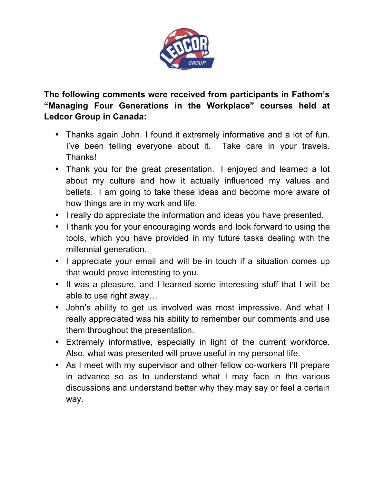

**The following comments were received from participants in Fathom's "Managing Four Generations in the Workplace" courses held at Ledcor Group in Canada:**

- Thanks again John. I found it extremely informative and a lot of fun. I've been telling everyone about it. Take care in your travels. Thanks!
- Thank you for the great presentation. I enjoyed and learned a lot about my culture and how it actually influenced my values and beliefs. I am going to take these ideas and become more aware of how things are in my work and life.
- I really do appreciate the information and ideas you have presented.
- I thank you for your encouraging words and look forward to using the tools, which you have provided in my future tasks dealing with the millennial generation.
- I appreciate your email and will be in touch if a situation comes up that would prove interesting to you.
- It was a pleasure, and I learned some interesting stuff that I will be able to use right away…
- John's ability to get us involved was most impressive. And what I really appreciated was his ability to remember our comments and use them throughout the presentation.
- Extremely informative, especially in light of the current workforce. Also, what was presented will prove useful in my personal life.
- As I meet with my supervisor and other fellow co-workers I'll prepare in advance so as to understand what I may face in the various discussions and understand better why they may say or feel a certain way.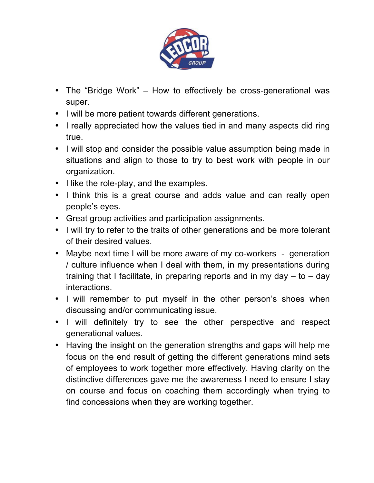

- The "Bridge Work" How to effectively be cross-generational was super.
- I will be more patient towards different generations.
- I really appreciated how the values tied in and many aspects did ring true.
- I will stop and consider the possible value assumption being made in situations and align to those to try to best work with people in our organization.
- I like the role-play, and the examples.
- I think this is a great course and adds value and can really open people's eyes.
- Great group activities and participation assignments.
- I will try to refer to the traits of other generations and be more tolerant of their desired values.
- Maybe next time I will be more aware of my co-workers generation / culture influence when I deal with them, in my presentations during training that I facilitate, in preparing reports and in my day  $-$  to  $-$  day interactions.
- I will remember to put myself in the other person's shoes when discussing and/or communicating issue.
- I will definitely try to see the other perspective and respect generational values.
- Having the insight on the generation strengths and gaps will help me focus on the end result of getting the different generations mind sets of employees to work together more effectively. Having clarity on the distinctive differences gave me the awareness I need to ensure I stay on course and focus on coaching them accordingly when trying to find concessions when they are working together.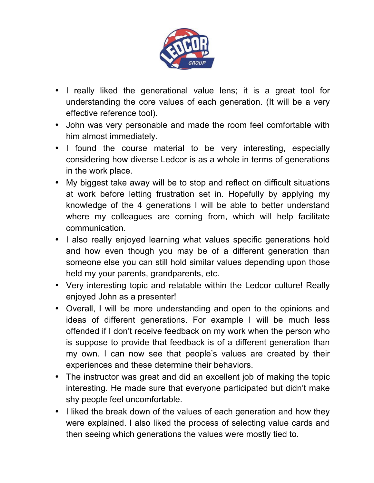

- I really liked the generational value lens; it is a great tool for understanding the core values of each generation. (It will be a very effective reference tool).
- John was very personable and made the room feel comfortable with him almost immediately.
- I found the course material to be very interesting, especially considering how diverse Ledcor is as a whole in terms of generations in the work place.
- My biggest take away will be to stop and reflect on difficult situations at work before letting frustration set in. Hopefully by applying my knowledge of the 4 generations I will be able to better understand where my colleagues are coming from, which will help facilitate communication.
- I also really enjoyed learning what values specific generations hold and how even though you may be of a different generation than someone else you can still hold similar values depending upon those held my your parents, grandparents, etc.
- Very interesting topic and relatable within the Ledcor culture! Really enjoyed John as a presenter!
- Overall, I will be more understanding and open to the opinions and ideas of different generations. For example I will be much less offended if I don't receive feedback on my work when the person who is suppose to provide that feedback is of a different generation than my own. I can now see that people's values are created by their experiences and these determine their behaviors.
- The instructor was great and did an excellent job of making the topic interesting. He made sure that everyone participated but didn't make shy people feel uncomfortable.
- I liked the break down of the values of each generation and how they were explained. I also liked the process of selecting value cards and then seeing which generations the values were mostly tied to.